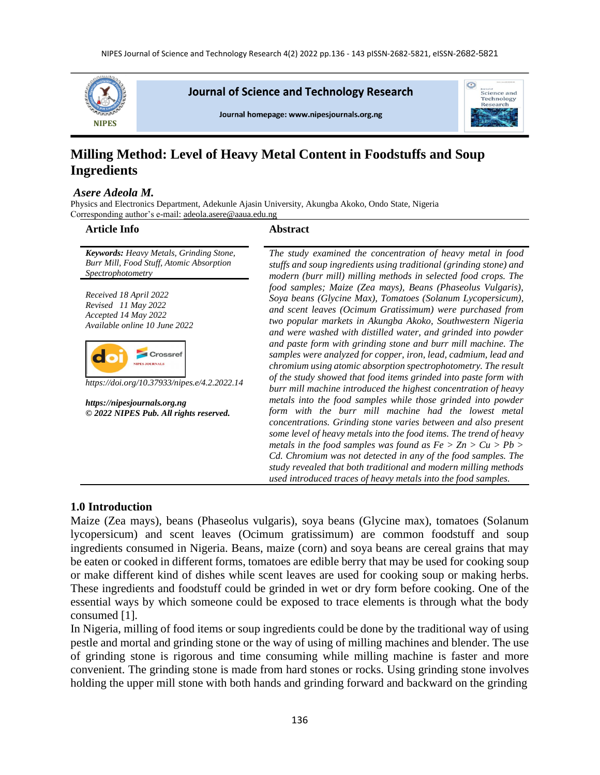

Journal of Science and Technology Research





# **Milling Method: Level of Heavy Metal Content in Foodstuffs and Soup Ingredients**

#### *Asere Adeola M.*

Physics and Electronics Department, Adekunle Ajasin University, Akungba Akoko, Ondo State, Nigeria Corresponding author's e-mail[: adeola.asere@aaua.edu.ng](mailto:adeola.asere@aaua.edu.ng)

#### **Article Info Abstract**

*Keywords: Heavy Metals, Grinding Stone, Burr Mill, Food Stuff, Atomic Absorption Spectrophotometry*

*Received 18 April 2022 Revised 11 May 2022 Accepted 14 May 2022 Available online 10 June 2022*



*https://doi.org/10.37933/nipes.e/4.2.2022.14*

*https://nipesjournals.org.ng © 2022 NIPES Pub. All rights reserved.*

*The study examined the concentration of heavy metal in food stuffs and soup ingredients using traditional (grinding stone) and modern (burr mill) milling methods in selected food crops. The food samples; Maize (Zea mays), Beans (Phaseolus Vulgaris), Soya beans (Glycine Max), Tomatoes (Solanum Lycopersicum), and scent leaves (Ocimum Gratissimum) were purchased from two popular markets in Akungba Akoko, Southwestern Nigeria and were washed with distilled water, and grinded into powder and paste form with grinding stone and burr mill machine. The samples were analyzed for copper, iron, lead, cadmium, lead and chromium using atomic absorption spectrophotometry. The result of the study showed that food items grinded into paste form with burr mill machine introduced the highest concentration of heavy metals into the food samples while those grinded into powder form with the burr mill machine had the lowest metal concentrations. Grinding stone varies between and also present some level of heavy metals into the food items. The trend of heavy metals in the food samples was found as*  $Fe > Zn > Cu > Pb >$ *Cd. Chromium was not detected in any of the food samples. The study revealed that both traditional and modern milling methods used introduced traces of heavy metals into the food samples.*

## **1.0 Introduction**

Maize (Zea mays), beans (Phaseolus vulgaris), soya beans (Glycine max), tomatoes (Solanum lycopersicum) and scent leaves (Ocimum gratissimum) are common foodstuff and soup ingredients consumed in Nigeria. Beans, maize (corn) and soya beans are cereal grains that may be eaten or cooked in different forms, tomatoes are edible berry that may be used for cooking soup or make different kind of dishes while scent leaves are used for cooking soup or making herbs. These ingredients and foodstuff could be grinded in wet or dry form before cooking. One of the essential ways by which someone could be exposed to trace elements is through what the body consumed [1].

In Nigeria, milling of food items or soup ingredients could be done by the traditional way of using pestle and mortal and grinding stone or the way of using of milling machines and blender. The use of grinding stone is rigorous and time consuming while milling machine is faster and more convenient. The grinding stone is made from hard stones or rocks. Using grinding stone involves holding the upper mill stone with both hands and grinding forward and backward on the grinding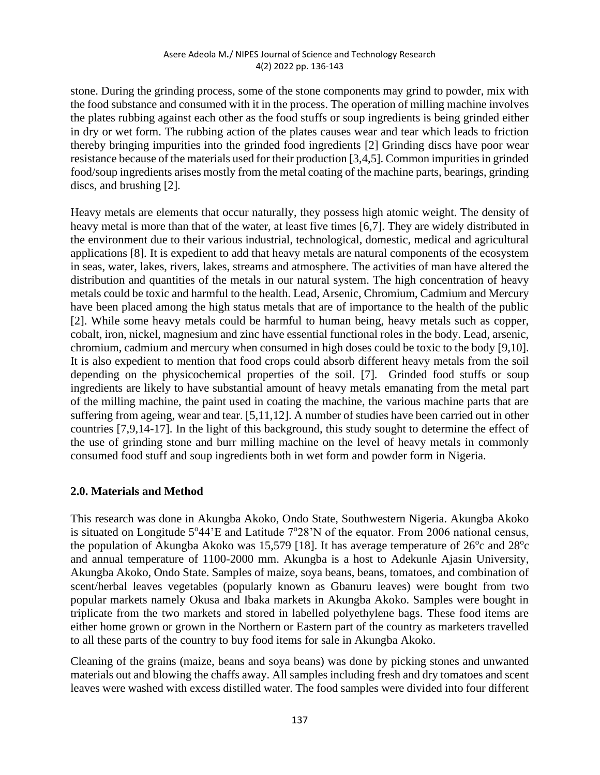stone. During the grinding process, some of the stone components may grind to powder, mix with the food substance and consumed with it in the process. The operation of milling machine involves the plates rubbing against each other as the food stuffs or soup ingredients is being grinded either in dry or wet form. The rubbing action of the plates causes wear and tear which leads to friction thereby bringing impurities into the grinded food ingredients [2] Grinding discs have poor wear resistance because of the materials used for their production [3,4,5]. Common impurities in grinded food/soup ingredients arises mostly from the metal coating of the machine parts, bearings, grinding discs, and brushing [2].

Heavy metals are elements that occur naturally, they possess high atomic weight. The density of heavy metal is more than that of the water, at least five times [6,7]. They are widely distributed in the environment due to their various industrial, technological, domestic, medical and agricultural applications [8]. It is expedient to add that heavy metals are natural components of the ecosystem in seas, water, lakes, rivers, lakes, streams and atmosphere. The activities of man have altered the distribution and quantities of the metals in our natural system. The high concentration of heavy metals could be toxic and harmful to the health. Lead, Arsenic, Chromium, Cadmium and Mercury have been placed among the high status metals that are of importance to the health of the public [2]. While some heavy metals could be harmful to human being, heavy metals such as copper, cobalt, iron, nickel, magnesium and zinc have essential functional roles in the body. Lead, arsenic, chromium, cadmium and mercury when consumed in high doses could be toxic to the body [9,10]. It is also expedient to mention that food crops could absorb different heavy metals from the soil depending on the physicochemical properties of the soil. [7]. Grinded food stuffs or soup ingredients are likely to have substantial amount of heavy metals emanating from the metal part of the milling machine, the paint used in coating the machine, the various machine parts that are suffering from ageing, wear and tear. [5,11,12]. A number of studies have been carried out in other countries [7,9,14-17]. In the light of this background, this study sought to determine the effect of the use of grinding stone and burr milling machine on the level of heavy metals in commonly consumed food stuff and soup ingredients both in wet form and powder form in Nigeria.

## **2.0. Materials and Method**

This research was done in Akungba Akoko, Ondo State, Southwestern Nigeria. Akungba Akoko is situated on Longitude  $5^{\circ}44$ 'E and Latitude  $7^{\circ}28$ 'N of the equator. From 2006 national census, the population of Akungba Akoko was 15,579 [18]. It has average temperature of  $26^{\circ}$ c and  $28^{\circ}$ c and annual temperature of 1100-2000 mm. Akungba is a host to Adekunle Ajasin University, Akungba Akoko, Ondo State. Samples of maize, soya beans, beans, tomatoes, and combination of scent/herbal leaves vegetables (popularly known as Gbanuru leaves) were bought from two popular markets namely Okusa and Ibaka markets in Akungba Akoko. Samples were bought in triplicate from the two markets and stored in labelled polyethylene bags. These food items are either home grown or grown in the Northern or Eastern part of the country as marketers travelled to all these parts of the country to buy food items for sale in Akungba Akoko.

Cleaning of the grains (maize, beans and soya beans) was done by picking stones and unwanted materials out and blowing the chaffs away. All samples including fresh and dry tomatoes and scent leaves were washed with excess distilled water. The food samples were divided into four different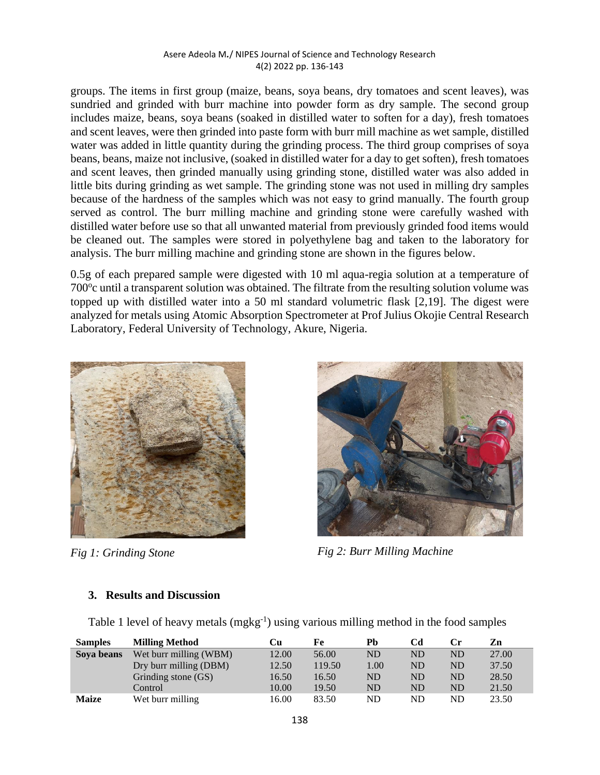groups. The items in first group (maize, beans, soya beans, dry tomatoes and scent leaves), was sundried and grinded with burr machine into powder form as dry sample. The second group includes maize, beans, soya beans (soaked in distilled water to soften for a day), fresh tomatoes and scent leaves, were then grinded into paste form with burr mill machine as wet sample, distilled water was added in little quantity during the grinding process. The third group comprises of soya beans, beans, maize not inclusive, (soaked in distilled water for a day to get soften), fresh tomatoes and scent leaves, then grinded manually using grinding stone, distilled water was also added in little bits during grinding as wet sample. The grinding stone was not used in milling dry samples because of the hardness of the samples which was not easy to grind manually. The fourth group served as control. The burr milling machine and grinding stone were carefully washed with distilled water before use so that all unwanted material from previously grinded food items would be cleaned out. The samples were stored in polyethylene bag and taken to the laboratory for analysis. The burr milling machine and grinding stone are shown in the figures below.

0.5g of each prepared sample were digested with 10 ml aqua-regia solution at a temperature of 700° cuntil a transparent solution was obtained. The filtrate from the resulting solution volume was topped up with distilled water into a 50 ml standard volumetric flask [2,19]. The digest were analyzed for metals using Atomic Absorption Spectrometer at Prof Julius Okojie Central Research Laboratory, Federal University of Technology, Akure, Nigeria.





*Fig 1: Grinding Stone Fig 2: Burr Milling Machine* 

## **3. Results and Discussion**

Table 1 level of heavy metals (mgkg<sup>-1</sup>) using various milling method in the food samples

| <b>Samples</b> | <b>Milling Method</b>  | Cп    | Fe     | Ph        | Cd        | Сr | Zn    |
|----------------|------------------------|-------|--------|-----------|-----------|----|-------|
| Sova beans     | Wet burr milling (WBM) | 12.00 | 56.00  | <b>ND</b> | <b>ND</b> | ND | 27.00 |
|                | Dry burr milling (DBM) | 12.50 | 119.50 | 1.00      | <b>ND</b> | ND | 37.50 |
|                | Grinding stone (GS)    | 16.50 | 16.50  | <b>ND</b> | <b>ND</b> | ND | 28.50 |
|                | Control                | 10.00 | 19.50  | ND        | <b>ND</b> | ND | 21.50 |
| <b>Maize</b>   | Wet burr milling       | 16.00 | 83.50  | ND        | ND        | ND | 23.50 |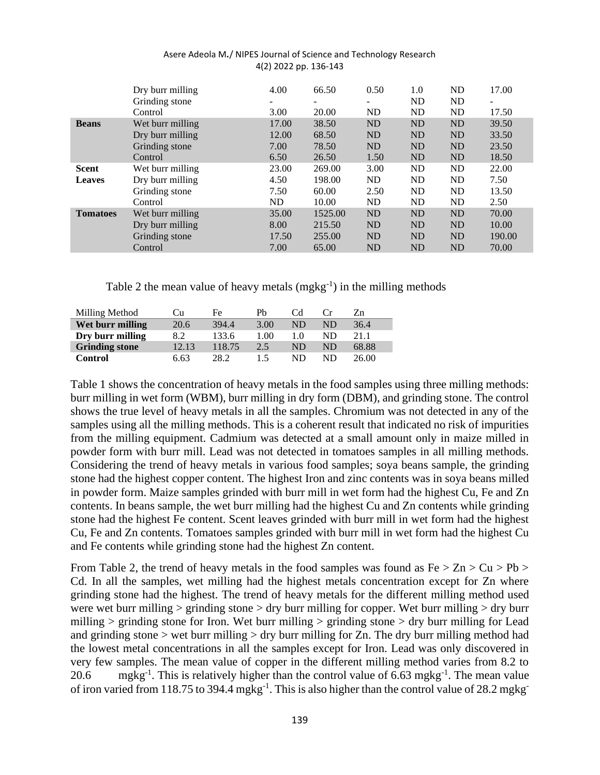|                 | Dry burr milling | 4.00  | 66.50   | 0.50      | 1.0       | <b>ND</b> | 17.00  |
|-----------------|------------------|-------|---------|-----------|-----------|-----------|--------|
|                 | Grinding stone   | -     | -       | -         | <b>ND</b> | ND        | ۰      |
|                 | Control          | 3.00  | 20.00   | ND        | <b>ND</b> | <b>ND</b> | 17.50  |
| <b>Beans</b>    | Wet burr milling | 17.00 | 38.50   | <b>ND</b> | <b>ND</b> | <b>ND</b> | 39.50  |
|                 | Dry burr milling | 12.00 | 68.50   | <b>ND</b> | <b>ND</b> | <b>ND</b> | 33.50  |
|                 | Grinding stone   | 7.00  | 78.50   | <b>ND</b> | <b>ND</b> | <b>ND</b> | 23.50  |
|                 | Control          | 6.50  | 26.50   | 1.50      | <b>ND</b> | <b>ND</b> | 18.50  |
| <b>Scent</b>    | Wet burr milling | 23.00 | 269.00  | 3.00      | ND        | ND        | 22.00  |
| <b>Leaves</b>   | Dry burr milling | 4.50  | 198.00  | ND.       | <b>ND</b> | ND        | 7.50   |
|                 | Grinding stone   | 7.50  | 60.00   | 2.50      | ND        | ND        | 13.50  |
|                 | Control          | ND    | 10.00   | ND        | <b>ND</b> | ND        | 2.50   |
| <b>Tomatoes</b> | Wet burr milling | 35.00 | 1525.00 | <b>ND</b> | <b>ND</b> | <b>ND</b> | 70.00  |
|                 | Dry burr milling | 8.00  | 215.50  | <b>ND</b> | <b>ND</b> | <b>ND</b> | 10.00  |
|                 | Grinding stone   | 17.50 | 255.00  | <b>ND</b> | <b>ND</b> | <b>ND</b> | 190.00 |
|                 | Control          | 7.00  | 65.00   | <b>ND</b> | <b>ND</b> | <b>ND</b> | 70.00  |

Table 2 the mean value of heavy metals  $(mgkg^{-1})$  in the milling methods

| Milling Method        | Cu    | Fe     | Ph   | Cd. |    | Zn    |
|-----------------------|-------|--------|------|-----|----|-------|
| Wet burr milling      | 20.6  | 394.4  | 3.00 | ND  | ND | 36.4  |
| Dry burr milling      | 8.2   | 133.6  | 1.00 | 1.0 | ND | 21 1  |
| <b>Grinding stone</b> | 12.13 | 118.75 | 2.5  | ND  | ND | 68.88 |
| Control               | 6.63  | 28.2   | 1.5  | ND  | ND | 26.00 |

Table 1 shows the concentration of heavy metals in the food samples using three milling methods: burr milling in wet form (WBM), burr milling in dry form (DBM), and grinding stone. The control shows the true level of heavy metals in all the samples. Chromium was not detected in any of the samples using all the milling methods. This is a coherent result that indicated no risk of impurities from the milling equipment. Cadmium was detected at a small amount only in maize milled in powder form with burr mill. Lead was not detected in tomatoes samples in all milling methods. Considering the trend of heavy metals in various food samples; soya beans sample, the grinding stone had the highest copper content. The highest Iron and zinc contents was in soya beans milled in powder form. Maize samples grinded with burr mill in wet form had the highest Cu, Fe and Zn contents. In beans sample, the wet burr milling had the highest Cu and Zn contents while grinding stone had the highest Fe content. Scent leaves grinded with burr mill in wet form had the highest Cu, Fe and Zn contents. Tomatoes samples grinded with burr mill in wet form had the highest Cu and Fe contents while grinding stone had the highest Zn content.

From Table 2, the trend of heavy metals in the food samples was found as  $Fe > Zn > Cu > Pb >$ Cd. In all the samples, wet milling had the highest metals concentration except for Zn where grinding stone had the highest. The trend of heavy metals for the different milling method used were wet burr milling > grinding stone > dry burr milling for copper. Wet burr milling > dry burr milling  $>$  grinding stone for Iron. Wet burr milling  $>$  grinding stone  $>$  dry burr milling for Lead and grinding stone  $>$  wet burr milling  $>$  dry burr milling for Zn. The dry burr milling method had the lowest metal concentrations in all the samples except for Iron. Lead was only discovered in very few samples. The mean value of copper in the different milling method varies from 8.2 to 20.6 mgkg<sup>-1</sup>. This is relatively higher than the control value of 6.63 mgkg<sup>-1</sup>. The mean value of iron varied from 118.75 to 394.4 mgkg<sup>-1</sup>. This is also higher than the control value of 28.2 mgkg<sup>-1</sup>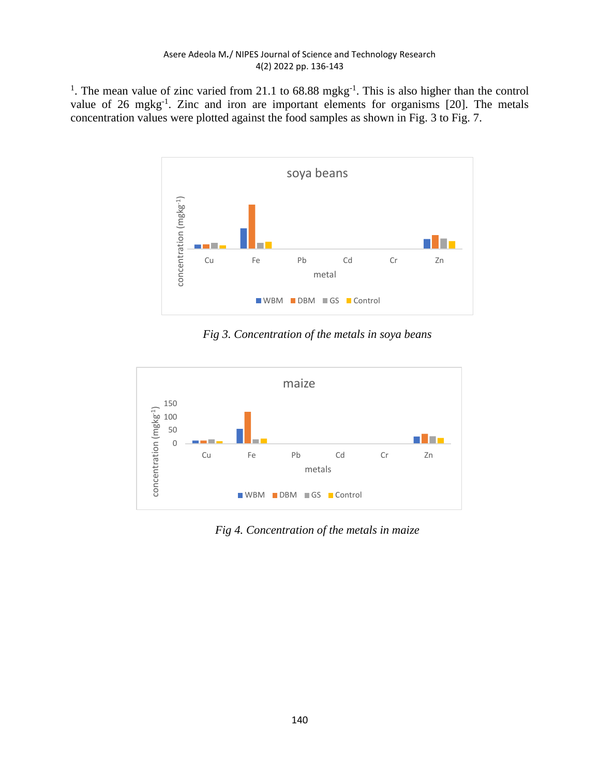<sup>1</sup>. The mean value of zinc varied from 21.1 to 68.88 mgkg<sup>-1</sup>. This is also higher than the control value of 26 mgkg<sup>-1</sup>. Zinc and iron are important elements for organisms [20]. The metals concentration values were plotted against the food samples as shown in Fig. 3 to Fig. 7.



*Fig 3. Concentration of the metals in soya beans*



*Fig 4. Concentration of the metals in maize*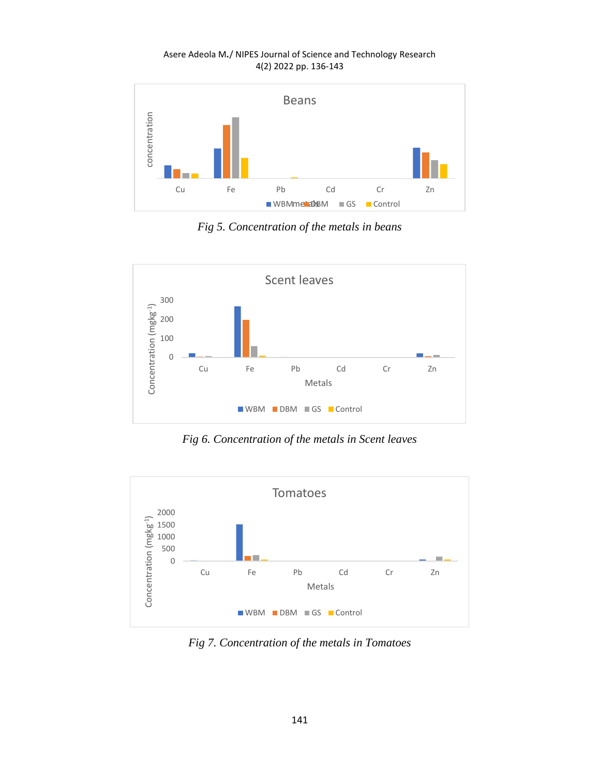

*Fig 5. Concentration of the metals in beans*



*Fig 6. Concentration of the metals in Scent leaves*



*Fig 7. Concentration of the metals in Tomatoes*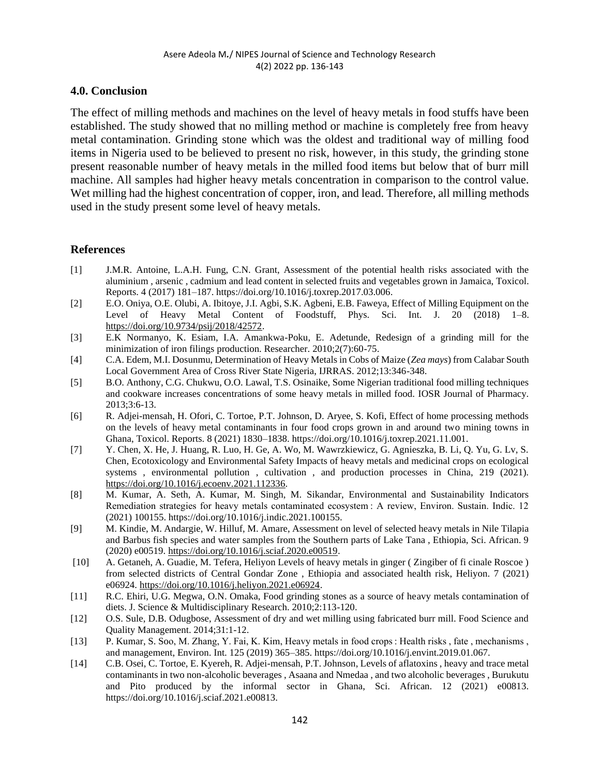## **4.0. Conclusion**

The effect of milling methods and machines on the level of heavy metals in food stuffs have been established. The study showed that no milling method or machine is completely free from heavy metal contamination. Grinding stone which was the oldest and traditional way of milling food items in Nigeria used to be believed to present no risk, however, in this study, the grinding stone present reasonable number of heavy metals in the milled food items but below that of burr mill machine. All samples had higher heavy metals concentration in comparison to the control value. Wet milling had the highest concentration of copper, iron, and lead. Therefore, all milling methods used in the study present some level of heavy metals.

## **References**

- [1] J.M.R. Antoine, L.A.H. Fung, C.N. Grant, Assessment of the potential health risks associated with the aluminium , arsenic , cadmium and lead content in selected fruits and vegetables grown in Jamaica, Toxicol. Reports. 4 (2017) 181–187. https://doi.org/10.1016/j.toxrep.2017.03.006.
- [2] E.O. Oniya, O.E. Olubi, A. Ibitoye, J.I. Agbi, S.K. Agbeni, E.B. Faweya, Effect of Milling Equipment on the Level of Heavy Metal Content of Foodstuff, Phys. Sci. Int. J. 20 (2018) 1–8. [https://doi.org/10.9734/psij/2018/42572.](https://doi.org/10.9734/psij/2018/42572)
- [3] E.K Normanyo, K. Esiam, I.A. Amankwa-Poku, E. Adetunde, Redesign of a grinding mill for the minimization of iron filings production. Researcher. 2010;2(7):60-75.
- [4] C.A. Edem, M.I. Dosunmu, Determination of Heavy Metals in Cobs of Maize (*Zea mays*) from Calabar South Local Government Area of Cross River State Nigeria, IJRRAS. 2012;13:346-348.
- [5] B.O. Anthony, C.G. Chukwu, O.O. Lawal, T.S. Osinaike, Some Nigerian traditional food milling techniques and cookware increases concentrations of some heavy metals in milled food. IOSR Journal of Pharmacy. 2013;3:6-13.
- [6] R. Adjei-mensah, H. Ofori, C. Tortoe, P.T. Johnson, D. Aryee, S. Kofi, Effect of home processing methods on the levels of heavy metal contaminants in four food crops grown in and around two mining towns in Ghana, Toxicol. Reports. 8 (2021) 1830–1838. https://doi.org/10.1016/j.toxrep.2021.11.001.
- [7] Y. Chen, X. He, J. Huang, R. Luo, H. Ge, A. Wo, M. Wawrzkiewicz, G. Agnieszka, B. Li, Q. Yu, G. Lv, S. Chen, Ecotoxicology and Environmental Safety Impacts of heavy metals and medicinal crops on ecological systems , environmental pollution , cultivation , and production processes in China, 219 (2021). [https://doi.org/10.1016/j.ecoenv.2021.112336.](https://doi.org/10.1016/j.ecoenv.2021.112336)
- [8] M. Kumar, A. Seth, A. Kumar, M. Singh, M. Sikandar, Environmental and Sustainability Indicators Remediation strategies for heavy metals contaminated ecosystem : A review, Environ. Sustain. Indic. 12 (2021) 100155. https://doi.org/10.1016/j.indic.2021.100155.
- [9] M. Kindie, M. Andargie, W. Hilluf, M. Amare, Assessment on level of selected heavy metals in Nile Tilapia and Barbus fish species and water samples from the Southern parts of Lake Tana , Ethiopia, Sci. African. 9 (2020) e00519[. https://doi.org/10.1016/j.sciaf.2020.e00519.](https://doi.org/10.1016/j.sciaf.2020.e00519)
- [10] A. Getaneh, A. Guadie, M. Tefera, Heliyon Levels of heavy metals in ginger ( Zingiber of fi cinale Roscoe ) from selected districts of Central Gondar Zone , Ethiopia and associated health risk, Heliyon. 7 (2021) e06924. [https://doi.org/10.1016/j.heliyon.2021.e06924.](https://doi.org/10.1016/j.heliyon.2021.e06924)
- [11] R.C. Ehiri, U.G. Megwa, O.N. Omaka, Food grinding stones as a source of heavy metals contamination of diets. J. Science & Multidisciplinary Research. 2010;2:113-120.
- [12] O.S. Sule, D.B. Odugbose, Assessment of dry and wet milling using fabricated burr mill. Food Science and Quality Management. 2014;31:1-12.
- [13] P. Kumar, S. Soo, M. Zhang, Y. Fai, K. Kim, Heavy metals in food crops : Health risks , fate , mechanisms , and management, Environ. Int. 125 (2019) 365–385. https://doi.org/10.1016/j.envint.2019.01.067.
- [14] C.B. Osei, C. Tortoe, E. Kyereh, R. Adjei-mensah, P.T. Johnson, Levels of aflatoxins , heavy and trace metal contaminants in two non-alcoholic beverages , Asaana and Nmedaa , and two alcoholic beverages , Burukutu and Pito produced by the informal sector in Ghana, Sci. African. 12 (2021) e00813. https://doi.org/10.1016/j.sciaf.2021.e00813.